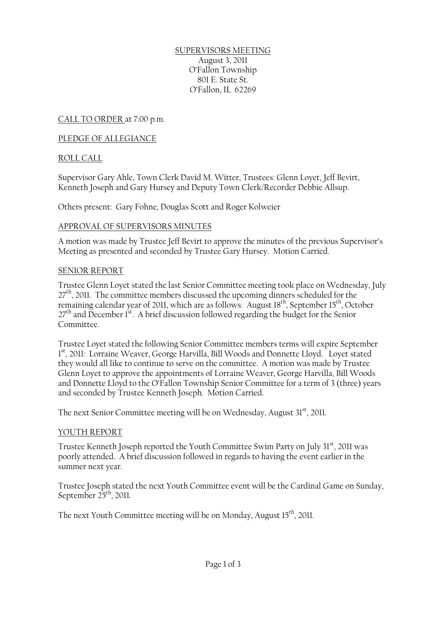SUPERVISORS MEETING August 3, 2011 O'Fallon Township 801 E. State St. O'Fallon, IL 62269

CALL TO ORDER at 7:00 p.m.

## PLEDGE OF ALLEGIANCE

## ROLL CALL

Supervisor Gary Ahle, Town Clerk David M. Witter, Trustees: Glenn Loyet, Jeff Bevirt, Kenneth Joseph and Gary Hursey and Deputy Town Clerk/Recorder Debbie Allsup.

Others present: Gary Fohne, Douglas Scott and Roger Kolweier

#### APPROVAL OF SUPERVISORS MINUTES

A motion was made by Trustee Jeff Bevirt to approve the minutes of the previous Supervisor's Meeting as presented and seconded by Trustee Gary Hursey. Motion Carried.

## SENIOR REPORT

Trustee Glenn Loyet stated the last Senior Committee meeting took place on Wednesday, July  $27<sup>th</sup>$ , 2011. The committee members discussed the upcoming dinners scheduled for the remaining calendar year of 2011, which are as follows: August 18<sup>th</sup>, September 15<sup>th</sup>, October  $27<sup>th</sup>$  and December 1<sup>st</sup>. A brief discussion followed regarding the budget for the Senior Committee.

Trustee Loyet stated the following Senior Committee members terms will expire September 1st, 2011: Lorraine Weaver, George Harvilla, Bill Woods and Donnette Lloyd. Loyet stated they would all like to continue to serve on the committee. A motion was made by Trustee Glenn Loyet to approve the appointments of Lorraine Weaver, George Harvilla, Bill Woods and Donnette Lloyd to the O'Fallon Township Senior Committee for a term of 3 (three) years and seconded by Trustee Kenneth Joseph. Motion Carried.

The next Senior Committee meeting will be on Wednesday, August  $31<sup>st</sup>$ , 2011.

#### YOUTH REPORT

Trustee Kenneth Joseph reported the Youth Committee Swim Party on July 31<sup>st</sup>, 2011 was poorly attended. A brief discussion followed in regards to having the event earlier in the summer next year.

Trustee Joseph stated the next Youth Committee event will be the Cardinal Game on Sunday, September  $25<sup>th</sup>$ , 2011.

The next Youth Committee meeting will be on Monday, August 15<sup>th</sup>, 2011.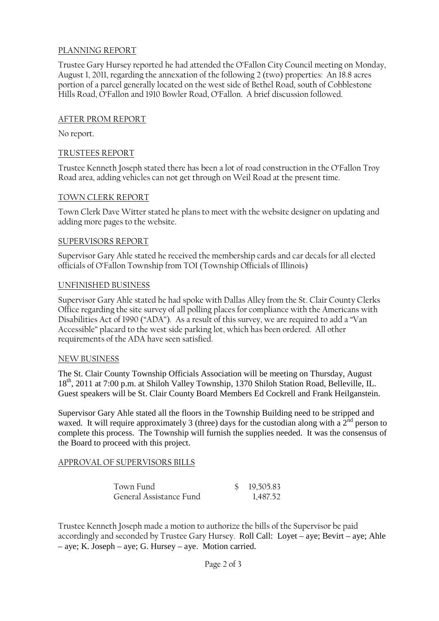# PLANNING REPORT

Trustee Gary Hursey reported he had attended the O'Fallon City Council meeting on Monday, August 1, 2011, regarding the annexation of the following 2 (two) properties: An 18.8 acres portion of a parcel generally located on the west side of Bethel Road, south of Cobblestone Hills Road, O'Fallon and 1910 Bowler Road, O'Fallon. A brief discussion followed.

## AFTER PROM REPORT

No report.

## TRUSTEES REPORT

Trustee Kenneth Joseph stated there has been a lot of road construction in the O'Fallon Troy Road area, adding vehicles can not get through on Weil Road at the present time.

#### TOWN CLERK REPORT

Town Clerk Dave Witter stated he plans to meet with the website designer on updating and adding more pages to the website.

## SUPERVISORS REPORT

Supervisor Gary Ahle stated he received the membership cards and car decals for all elected officials of O'Fallon Township from TOI (Township Officials of Illinois)

#### UNFINISHED BUSINESS

Supervisor Gary Ahle stated he had spoke with Dallas Alley from the St. Clair County Clerks Office regarding the site survey of all polling places for compliance with the Americans with Disabilities Act of 1990 ("ADA"). As a result of this survey, we are required to add a "Van Accessible" placard to the west side parking lot, which has been ordered. All other requirements of the ADA have seen satisfied.

#### NEW BUSINESS

The St. Clair County Township Officials Association will be meeting on Thursday, August 18th, 2011 at 7:00 p.m. at Shiloh Valley Township, 1370 Shiloh Station Road, Belleville, IL. Guest speakers will be St. Clair County Board Members Ed Cockrell and Frank Heilganstein.

Supervisor Gary Ahle stated all the floors in the Township Building need to be stripped and waxed. It will require approximately 3 (three) days for the custodian along with a  $2<sup>nd</sup>$  person to complete this process. The Township will furnish the supplies needed. It was the consensus of the Board to proceed with this project.

#### APPROVAL OF SUPERVISORS BILLS

| Town Fund               | \$19,505.83 |
|-------------------------|-------------|
| General Assistance Fund | 1,487.52    |

Trustee Kenneth Joseph made a motion to authorize the bills of the Supervisor be paid accordingly and seconded by Trustee Gary Hursey. Roll Call: Loyet – aye; Bevirt – aye; Ahle – aye; K. Joseph – aye; G. Hursey – aye. Motion carried.